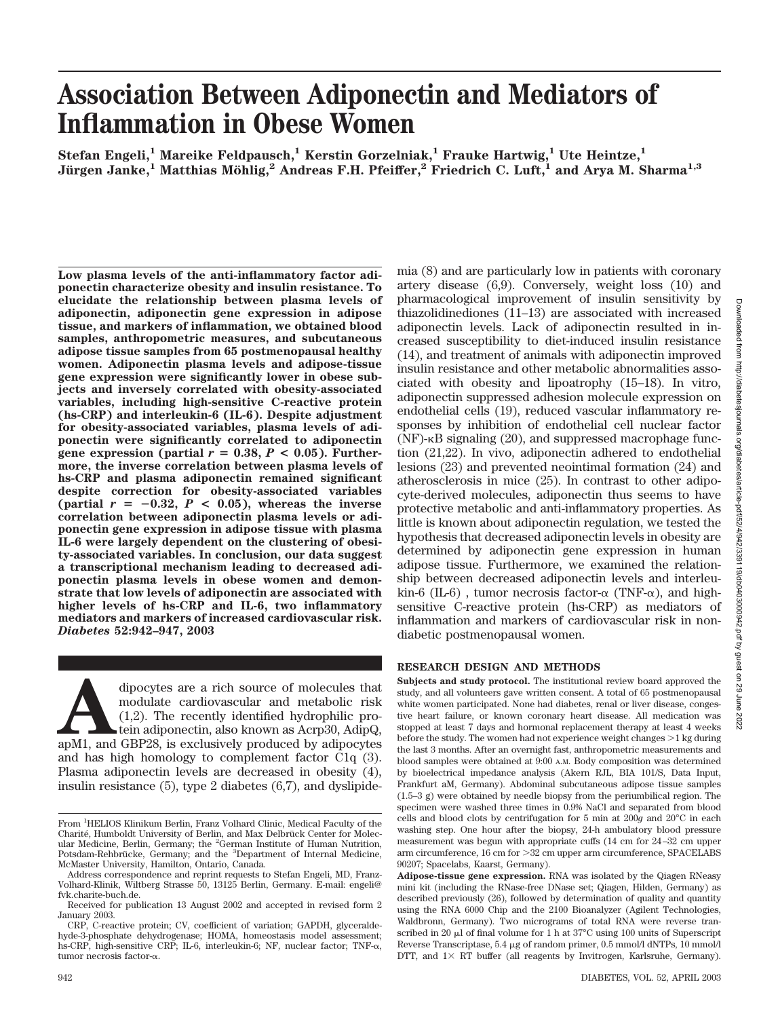# **Association Between Adiponectin and Mediators of Inflammation in Obese Women**

 $Stefan Engeli<sup>1</sup> Mareike Feldpausch<sup>1</sup> Kerstin Gorzelniak<sup>1</sup> Frauke Hartwig<sup>1</sup>, Ute Heintze<sup>1</sup>$ **Ju¨rgen Janke,1 Matthias Mo¨hlig,2 Andreas F.H. Pfeiffer,2 Friedrich C. Luft,1 and Arya M. Sharma1,3**

**Low plasma levels of the anti-inflammatory factor adiponectin characterize obesity and insulin resistance. To elucidate the relationship between plasma levels of adiponectin, adiponectin gene expression in adipose tissue, and markers of inflammation, we obtained blood samples, anthropometric measures, and subcutaneous adipose tissue samples from 65 postmenopausal healthy women. Adiponectin plasma levels and adipose-tissue gene expression were significantly lower in obese subjects and inversely correlated with obesity-associated variables, including high-sensitive C-reactive protein (hs-CRP) and interleukin-6 (IL-6). Despite adjustment for obesity-associated variables, plasma levels of adiponectin were significantly correlated to adiponectin gene expression (partial**  $r = 0.38$ ,  $P < 0.05$ ). Further**more, the inverse correlation between plasma levels of hs-CRP and plasma adiponectin remained significant despite correction for obesity-associated variables**  ${\rm (partial \, r = -0.32, \, P < 0.05),}$  whereas the inverse **correlation between adiponectin plasma levels or adiponectin gene expression in adipose tissue with plasma IL-6 were largely dependent on the clustering of obesity-associated variables. In conclusion, our data suggest a transcriptional mechanism leading to decreased adiponectin plasma levels in obese women and demonstrate that low levels of adiponectin are associated with higher levels of hs-CRP and IL-6, two inflammatory mediators and markers of increased cardiovascular risk.** *Diabetes* **52:942–947, 2003**

dipocytes are a rich source of molecules that<br>
modulate cardiovascular and metabolic risk<br>
(1,2). The recently identified hydrophilic pro-<br>
tein adiponectin, also known as Acrp30, AdipQ,<br>
apM1, and GBP28, is exclusively pr modulate cardiovascular and metabolic risk (1,2). The recently identified hydrophilic protein adiponectin, also known as Acrp30, AdipQ, and has high homology to complement factor C1q (3). Plasma adiponectin levels are decreased in obesity (4), insulin resistance (5), type 2 diabetes (6,7), and dyslipidemia (8) and are particularly low in patients with coronary artery disease (6,9). Conversely, weight loss (10) and pharmacological improvement of insulin sensitivity by thiazolidinediones (11–13) are associated with increased adiponectin levels. Lack of adiponectin resulted in increased susceptibility to diet-induced insulin resistance (14), and treatment of animals with adiponectin improved insulin resistance and other metabolic abnormalities associated with obesity and lipoatrophy (15–18). In vitro, adiponectin suppressed adhesion molecule expression on endothelial cells (19), reduced vascular inflammatory responses by inhibition of endothelial cell nuclear factor  $(NF)$ - $\kappa$ B signaling (20), and suppressed macrophage function (21,22). In vivo, adiponectin adhered to endothelial lesions (23) and prevented neointimal formation (24) and atherosclerosis in mice (25). In contrast to other adipocyte-derived molecules, adiponectin thus seems to have protective metabolic and anti-inflammatory properties. As little is known about adiponectin regulation, we tested the hypothesis that decreased adiponectin levels in obesity are determined by adiponectin gene expression in human adipose tissue. Furthermore, we examined the relationship between decreased adiponectin levels and interleu- $\text{kin-6 (IL-6)}$ , tumor necrosis factor- $\alpha$  (TNF- $\alpha$ ), and highsensitive C-reactive protein (hs-CRP) as mediators of inflammation and markers of cardiovascular risk in nondiabetic postmenopausal women.

## **RESEARCH DESIGN AND METHODS**

**Subjects and study protocol.** The institutional review board approved the study, and all volunteers gave written consent. A total of 65 postmenopausal white women participated. None had diabetes, renal or liver disease, congestive heart failure, or known coronary heart disease. All medication was stopped at least 7 days and hormonal replacement therapy at least 4 weeks before the study. The women had not experience weight changes  $>1$  kg during the last 3 months. After an overnight fast, anthropometric measurements and blood samples were obtained at 9:00 A.M. Body composition was determined by bioelectrical impedance analysis (Akern RJL, BIA 101/S, Data Input, Frankfurt aM, Germany). Abdominal subcutaneous adipose tissue samples (1.5–3 g) were obtained by needle biopsy from the periumbilical region. The specimen were washed three times in 0.9% NaCl and separated from blood cells and blood clots by centrifugation for 5 min at 200*g* and 20°C in each washing step. One hour after the biopsy, 24-h ambulatory blood pressure measurement was begun with appropriate cuffs (14 cm for 24–32 cm upper arm circumference, 16 cm for 32 cm upper arm circumference, SPACELABS 90207; Spacelabs, Kaarst, Germany).

From <sup>1</sup>HELIOS Klinikum Berlin, Franz Volhard Clinic, Medical Faculty of the Charité, Humboldt University of Berlin, and Max Delbrück Center for Molecular Medicine, Berlin, Germany; the <sup>2</sup>German Institute of Human Nutrition, Potsdam-Rehbrücke, Germany; and the <sup>3</sup>Department of Internal Medicine, McMaster University, Hamilton, Ontario, Canada.

Address correspondence and reprint requests to Stefan Engeli, MD, Franz-Volhard-Klinik, Wiltberg Strasse 50, 13125 Berlin, Germany. E-mail: engeli@ fvk.charite-buch.de.

Received for publication 13 August 2002 and accepted in revised form 2 January 2003.

CRP, C-reactive protein; CV, coefficient of variation; GAPDH, glyceraldehyde-3-phosphate dehydrogenase; HOMA, homeostasis model assessment; hs-CRP, high-sensitive CRP; IL-6, interleukin-6; NF, nuclear factor; TNF-α, tumor necrosis factor-α.

**Adipose-tissue gene expression.** RNA was isolated by the Qiagen RNeasy mini kit (including the RNase-free DNase set; Qiagen, Hilden, Germany) as described previously (26), followed by determination of quality and quantity using the RNA 6000 Chip and the 2100 Bioanalyzer (Agilent Technologies, Waldbronn, Germany). Two micrograms of total RNA were reverse transcribed in 20  $\mu$ l of final volume for 1 h at 37°C using 100 units of Superscript Reverse Transcriptase,  $5.4 \mu$ g of random primer,  $0.5 \text{ mmol/l}$  dNTPs,  $10 \text{ mmol/l}$ DTT, and  $1 \times RT$  buffer (all reagents by Invitrogen, Karlsruhe, Germany).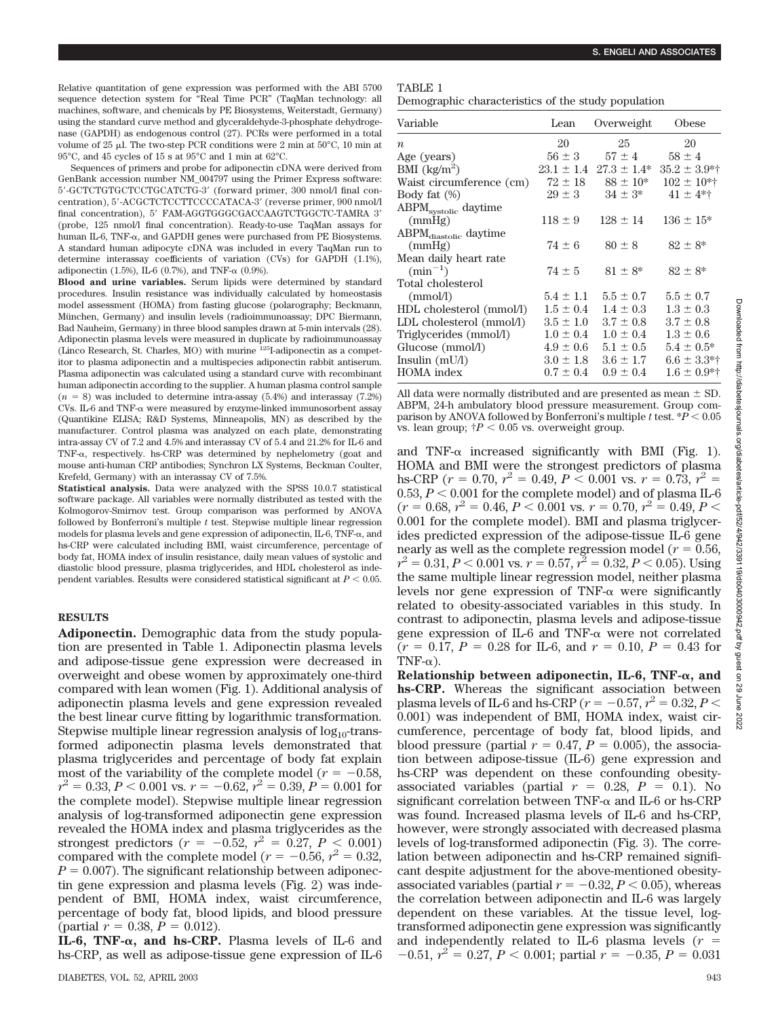Relative quantitation of gene expression was performed with the ABI 5700 sequence detection system for "Real Time PCR" (TaqMan technology: all machines, software, and chemicals by PE Biosystems, Weiterstadt, Germany) using the standard curve method and glyceraldehyde-3-phosphate dehydrogenase (GAPDH) as endogenous control (27). PCRs were performed in a total volume of  $25 \mu$ . The two-step PCR conditions were 2 min at  $50^{\circ}$ C, 10 min at 95°C, and 45 cycles of 15 s at 95°C and 1 min at 62°C.

Sequences of primers and probe for adiponectin cDNA were derived from GenBank accession number NM\_004797 using the Primer Express software: 5-GCTCTGTGCTCCTGCATCTG-3 (forward primer, 300 nmol/l final concentration), 5'-ACGCTCTCCTTCCCCATACA-3' (reverse primer, 900 nmol/l final concentration), 5' FAM-AGGTGGGCGACCAAGTCTGGCTC-TAMRA 3' (probe, 125 nmol/l final concentration). Ready-to-use TaqMan assays for human IL-6, TNF- $\alpha$ , and GAPDH genes were purchased from PE Biosystems. A standard human adipocyte cDNA was included in every TaqMan run to determine interassay coefficients of variation (CVs) for GAPDH (1.1%), adiponectin  $(1.5\%)$ , IL-6  $(0.7\%)$ , and TNF- $\alpha$   $(0.9\%)$ .

**Blood and urine variables.** Serum lipids were determined by standard procedures. Insulin resistance was individually calculated by homeostasis model assessment (HOMA) from fasting glucose (polarography; Beckmann, München, Germany) and insulin levels (radioimmunoassay; DPC Biermann, Bad Nauheim, Germany) in three blood samples drawn at 5-min intervals (28). Adiponectin plasma levels were measured in duplicate by radioimmunoassay (Linco Research, St. Charles, MO) with murine 125I-adiponectin as a competitor to plasma adiponectin and a multispecies adiponectin rabbit antiserum. Plasma adiponectin was calculated using a standard curve with recombinant human adiponectin according to the supplier. A human plasma control sample  $(n = 8)$  was included to determine intra-assay  $(5.4%)$  and interassay  $(7.2%)$ CVs. IL-6 and TNF- $\alpha$  were measured by enzyme-linked immunosorbent assay (Quantikine ELISA; R&D Systems, Minneapolis, MN) as described by the manufacturer. Control plasma was analyzed on each plate, demonstrating intra-assay CV of 7.2 and 4.5% and interassay CV of 5.4 and 21.2% for IL-6 and TNF- $\alpha$ , respectively. hs-CRP was determined by nephelometry (goat and mouse anti-human CRP antibodies; Synchron LX Systems, Beckman Coulter, Krefeld, Germany) with an interassay CV of 7.5%.

**Statistical analysis.** Data were analyzed with the SPSS 10.0.7 statistical software package. All variables were normally distributed as tested with the Kolmogorov-Smirnov test. Group comparison was performed by ANOVA followed by Bonferroni's multiple *t* test. Stepwise multiple linear regression models for plasma levels and gene expression of adiponectin,  $IL-6$ ,  $TNF-\alpha$ , and hs-CRP were calculated including BMI, waist circumference, percentage of body fat, HOMA index of insulin resistance, daily mean values of systolic and diastolic blood pressure, plasma triglycerides, and HDL cholesterol as independent variables. Results were considered statistical significant at  $P < 0.05$ .

#### **RESULTS**

**Adiponectin.** Demographic data from the study population are presented in Table 1. Adiponectin plasma levels and adipose-tissue gene expression were decreased in overweight and obese women by approximately one-third compared with lean women (Fig. 1). Additional analysis of adiponectin plasma levels and gene expression revealed the best linear curve fitting by logarithmic transformation. Stepwise multiple linear regression analysis of  $log_{10}$ -transformed adiponectin plasma levels demonstrated that plasma triglycerides and percentage of body fat explain most of the variability of the complete model ( $r = -0.58$ ,  $r^2 = 0.33, P < 0.001$  vs.  $r = -0.62, r^2 = 0.39, P = 0.001$  for the complete model). Stepwise multiple linear regression analysis of log-transformed adiponectin gene expression revealed the HOMA index and plasma triglycerides as the strongest predictors  $(r = -0.52, r^2 = 0.27, P < 0.001)$ compared with the complete model ( $r = -0.56$ ,  $r^2 = 0.32$ ,  $P = 0.007$ . The significant relationship between adiponectin gene expression and plasma levels (Fig. 2) was independent of BMI, HOMA index, waist circumference, percentage of body fat, blood lipids, and blood pressure (partial  $r = 0.38$ ,  $P = 0.012$ ).

**IL-6, TNF-** $\alpha$ **, and hs-CRP.** Plasma levels of IL-6 and hs-CRP, as well as adipose-tissue gene expression of IL-6

### TABLE 1

Demographic characteristics of the study population

| Variable                          | Lean          | Overweight                      | Obese             |
|-----------------------------------|---------------|---------------------------------|-------------------|
| $\boldsymbol{n}$                  | 20            | 25                              | 20                |
| Age (years)                       | $56 \pm 3$    | $57 \pm 4$                      | $58 \pm 4$        |
| BMI $(kg/m^2)$                    |               | $23.1 \pm 1.4$ $27.3 \pm 1.4^*$ | $35.2 \pm 3.9$ *† |
| Waist circumference (cm)          | $72 \pm 18$   | $88 \pm 10^{*}$                 | $102 \pm 10$ *†   |
| Body fat $(\%)$                   | $29 \pm 3$    | $34 \pm 3^*$                    | $41 \pm 4$ *†     |
| ABPM <sub>systolic</sub> daytime  |               |                                 |                   |
| (mmHg)                            | $118 \pm 9$   | $128 \pm 14$                    | $136 \pm 15^*$    |
| ABPM <sub>diastolic</sub> daytime |               |                                 |                   |
| (mmHg)                            | $74 \pm 6$    | $80 \pm 8$                      | $82 \pm 8^*$      |
| Mean daily heart rate             |               |                                 |                   |
| $(\min^{-1})$                     | $74 \pm 5$    | $81 \pm 8^*$                    | $82 \pm 8^*$      |
| Total cholesterol                 |               |                                 |                   |
| (mmol/l)                          | $5.4 \pm 1.1$ | $5.5 \pm 0.7$                   | $5.5 \pm 0.7$     |
| HDL cholesterol (mmol/l)          | $1.5 \pm 0.4$ | $1.4 \pm 0.3$                   | $1.3 \pm 0.3$     |
| LDL cholesterol (mmol/l)          | $3.5 \pm 1.0$ | $3.7 \pm 0.8$                   | $3.7 \pm 0.8$     |
| Triglycerides (mmol/l)            | $1.0 \pm 0.4$ | $1.0 \pm 0.4$                   | $1.3 \pm 0.6$     |
| Glucose (mmol/l)                  | $4.9 \pm 0.6$ | $5.1 \pm 0.5$                   | $5.4 \pm 0.5^*$   |
| Insulin $(mU/I)$                  | $3.0 \pm 1.8$ | $3.6 \pm 1.7$                   | $6.6 \pm 3.3$ *†  |
| <b>HOMA</b> index                 | $0.7 \pm 0.4$ | $0.9 \pm 0.4$                   | $1.6 \pm 0.9$ *†  |

All data were normally distributed and are presented as mean  $\pm$  SD. ABPM, 24-h ambulatory blood pressure measurement. Group comparison by ANOVA followed by Bonferroni's multiple *t* test.  $*P < 0.05$ vs. lean group;  $\dot{\uparrow}P < 0.05$  vs. overweight group.

and TNF- $\alpha$  increased significantly with BMI (Fig. 1). HOMA and BMI were the strongest predictors of plasma hs-CRP ( $r = 0.70$ ,  $r^2 = 0.49$ ,  $P < 0.001$  vs.  $r = 0.73$ ,  $r^2 =$  $0.53, P < 0.001$  for the complete model) and of plasma IL-6  $(r = 0.68, r^2 = 0.46, P < 0.001$  vs.  $r = 0.70, r^2 = 0.49, P <$ 0.001 for the complete model). BMI and plasma triglycerides predicted expression of the adipose-tissue IL-6 gene nearly as well as the complete regression model ( $r = 0.56$ ,  $r^2 = 0.31, P < 0.001$  vs.  $r = 0.57, r^2 = 0.32, P < 0.05$ ). Using the same multiple linear regression model, neither plasma levels nor gene expression of  $TNF-\alpha$  were significantly related to obesity-associated variables in this study. In contrast to adiponectin, plasma levels and adipose-tissue gene expression of  $IL-6$  and TNF- $\alpha$  were not correlated  $(r = 0.17, P = 0.28$  for IL-6, and  $r = 0.10, P = 0.43$  for TNF- $\alpha$ ).

**Relationship between adiponectin, IL-6, TNF-** $\alpha$ **, and hs-CRP.** Whereas the significant association between plasma levels of IL-6 and hs-CRP ( $r = -0.57$ ,  $r^2 = 0.32$ ,  $P <$ 0.001) was independent of BMI, HOMA index, waist circumference, percentage of body fat, blood lipids, and blood pressure (partial  $r = 0.47$ ,  $P = 0.005$ ), the association between adipose-tissue (IL-6) gene expression and hs-CRP was dependent on these confounding obesityassociated variables (partial  $r = 0.28$ ,  $P = 0.1$ ). No significant correlation between TNF- $\alpha$  and IL-6 or hs-CRP was found. Increased plasma levels of IL-6 and hs-CRP, however, were strongly associated with decreased plasma levels of log-transformed adiponectin (Fig. 3). The correlation between adiponectin and hs-CRP remained significant despite adjustment for the above-mentioned obesityassociated variables (partial  $r = -0.32, P < 0.05$ ), whereas the correlation between adiponectin and IL-6 was largely dependent on these variables. At the tissue level, logtransformed adiponectin gene expression was significantly and independently related to IL-6 plasma levels  $(r =$  $-0.51, r^2 = 0.27, P < 0.001$ ; partial  $r = -0.35, P = 0.031$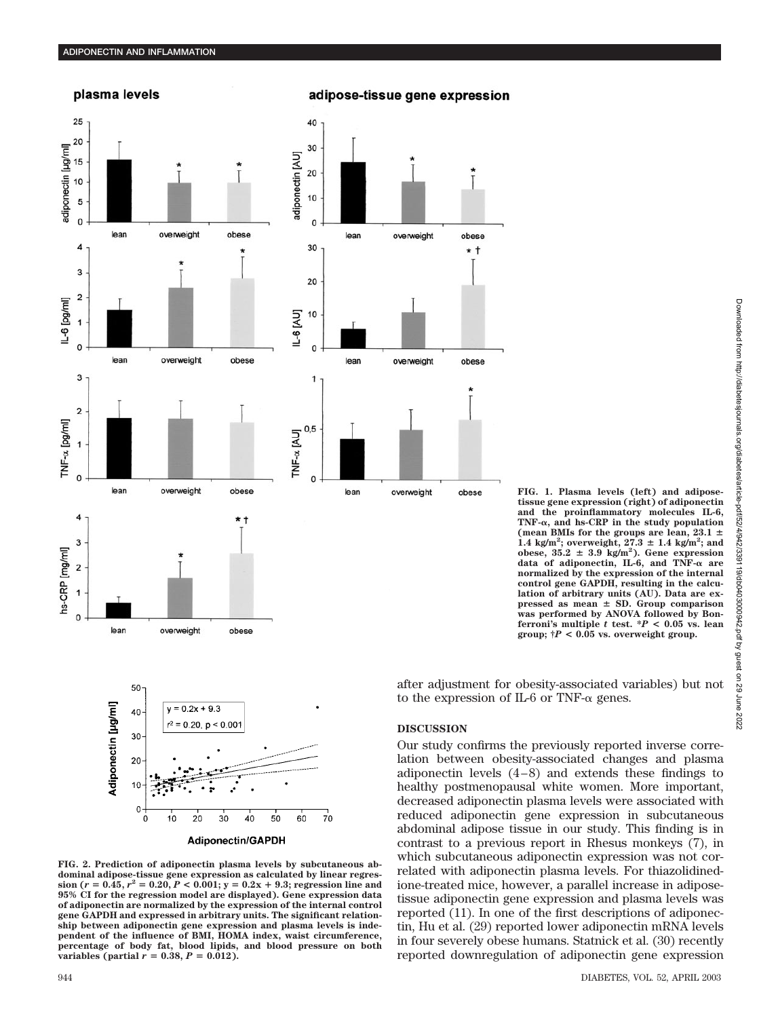## plasma levels



## adipose-tissue gene expression

obese

\* †

obese

obese

**FIG. 1. Plasma levels (left) and adiposetissue gene expression (right) of adiponectin and the proinflammatory molecules IL-6, TNF-, and hs-CRP in the study population (mean BMIs for the groups are lean, 23.1**  $\overline{1.4}$  kg/m<sup>2</sup>; overweight,  $27.3 \pm 1.4$  kg/m<sup>2</sup>; and obese,  $35.2 \pm 3.9$  kg/m<sup>2</sup>). Gene expression data of adiponectin, IL-6, and TNF- $\alpha$  are **normalized by the expression of the internal control gene GAPDH, resulting in the calculation of arbitrary units (AU). Data are expressed as mean SD. Group comparison was performed by ANOVA followed by Bonferroni's multiple** *t* **test. \****P* **< 0.05 vs. lean group; †***P* **< 0.05 vs. overweight group.**

944 DIABETES, VOL. 52, APRIL 2003

abdominal adipose tissue in our study. This finding is in contrast to a previous report in Rhesus monkeys (7), in which subcutaneous adiponectin expression was not correlated with adiponectin plasma levels. For thiazolidinedione-treated mice, however, a parallel increase in adiposetissue adiponectin gene expression and plasma levels was reported (11). In one of the first descriptions of adiponectin, Hu et al. (29) reported lower adiponectin mRNA levels in four severely obese humans. Statnick et al. (30) recently reported downregulation of adiponectin gene expression



Adiponectin/GAPDH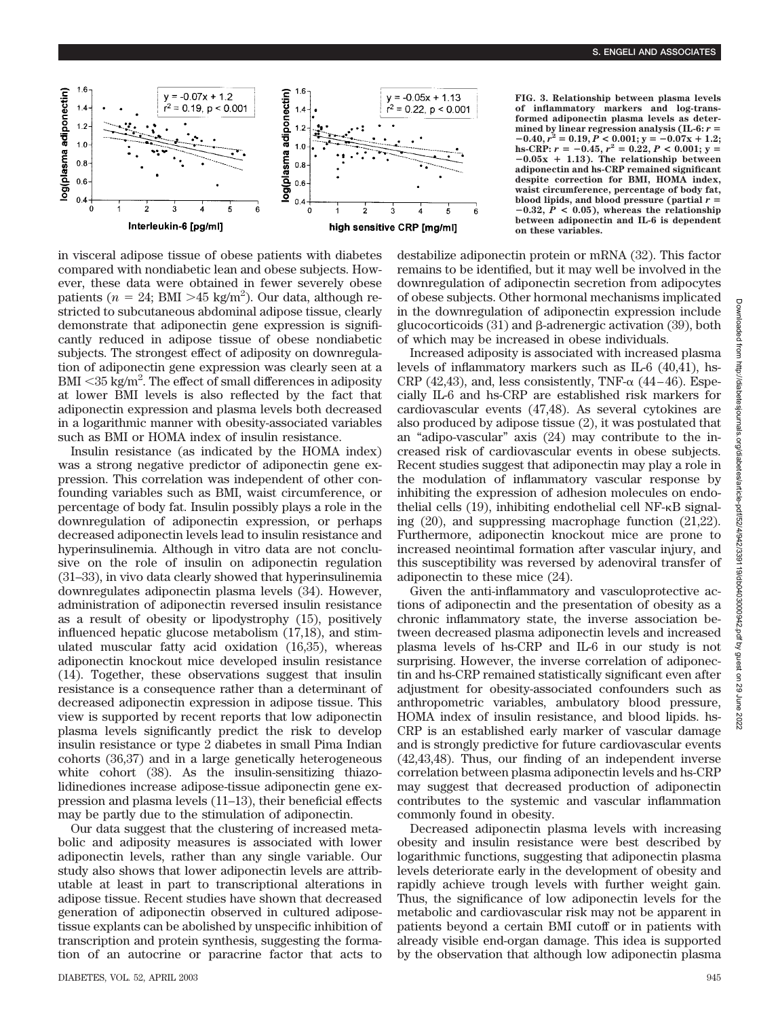

in visceral adipose tissue of obese patients with diabetes compared with nondiabetic lean and obese subjects. However, these data were obtained in fewer severely obese patients ( $n = 24$ ; BMI > 45 kg/m<sup>2</sup>). Our data, although restricted to subcutaneous abdominal adipose tissue, clearly demonstrate that adiponectin gene expression is significantly reduced in adipose tissue of obese nondiabetic subjects. The strongest effect of adiposity on downregulation of adiponectin gene expression was clearly seen at a BMI <35 kg/m<sup>2</sup>. The effect of small differences in adiposity at lower BMI levels is also reflected by the fact that adiponectin expression and plasma levels both decreased in a logarithmic manner with obesity-associated variables such as BMI or HOMA index of insulin resistance.

Insulin resistance (as indicated by the HOMA index) was a strong negative predictor of adiponectin gene expression. This correlation was independent of other confounding variables such as BMI, waist circumference, or percentage of body fat. Insulin possibly plays a role in the downregulation of adiponectin expression, or perhaps decreased adiponectin levels lead to insulin resistance and hyperinsulinemia. Although in vitro data are not conclusive on the role of insulin on adiponectin regulation (31–33), in vivo data clearly showed that hyperinsulinemia downregulates adiponectin plasma levels (34). However, administration of adiponectin reversed insulin resistance as a result of obesity or lipodystrophy (15), positively influenced hepatic glucose metabolism (17,18), and stimulated muscular fatty acid oxidation (16,35), whereas adiponectin knockout mice developed insulin resistance (14). Together, these observations suggest that insulin resistance is a consequence rather than a determinant of decreased adiponectin expression in adipose tissue. This view is supported by recent reports that low adiponectin plasma levels significantly predict the risk to develop insulin resistance or type 2 diabetes in small Pima Indian cohorts (36,37) and in a large genetically heterogeneous white cohort (38). As the insulin-sensitizing thiazolidinediones increase adipose-tissue adiponectin gene expression and plasma levels (11–13), their beneficial effects may be partly due to the stimulation of adiponectin.

Our data suggest that the clustering of increased metabolic and adiposity measures is associated with lower adiponectin levels, rather than any single variable. Our study also shows that lower adiponectin levels are attributable at least in part to transcriptional alterations in adipose tissue. Recent studies have shown that decreased generation of adiponectin observed in cultured adiposetissue explants can be abolished by unspecific inhibition of transcription and protein synthesis, suggesting the formation of an autocrine or paracrine factor that acts to **FIG. 3. Relationship between plasma levels of inflammatory markers and log-transformed adiponectin plasma levels as determined by linear regression analysis (IL-6:** *r*  $-0.40, r^2 = 0.19, P < 0.001$ ;  $y = -0.07x + 1.2$ ;  $h$ **s**-CRP:  $r = -0.45$ ,  $r^2 = 0.22$ ,  $P < 0.001$ ;  $y =$  $-0.05x + 1.13$ . The relationship between **adiponectin and hs-CRP remained significant despite correction for BMI, HOMA index, waist circumference, percentage of body fat, blood lipids, and blood pressure (partial** *r*  $-0.32$ ,  $P < 0.05$ ), whereas the relationship **between adiponectin and IL-6 is dependent on these variables.**

destabilize adiponectin protein or mRNA (32). This factor remains to be identified, but it may well be involved in the downregulation of adiponectin secretion from adipocytes of obese subjects. Other hormonal mechanisms implicated in the downregulation of adiponectin expression include glucocorticoids  $(31)$  and  $\beta$ -adrenergic activation  $(39)$ , both of which may be increased in obese individuals.

Increased adiposity is associated with increased plasma levels of inflammatory markers such as IL-6 (40,41), hs-CRP  $(42, 43)$ , and, less consistently, TNF- $\alpha$   $(44-46)$ . Especially IL-6 and hs-CRP are established risk markers for cardiovascular events (47,48). As several cytokines are also produced by adipose tissue (2), it was postulated that an "adipo-vascular" axis (24) may contribute to the increased risk of cardiovascular events in obese subjects. Recent studies suggest that adiponectin may play a role in the modulation of inflammatory vascular response by inhibiting the expression of adhesion molecules on endothelial cells  $(19)$ , inhibiting endothelial cell NF- $\kappa$ B signaling (20), and suppressing macrophage function (21,22). Furthermore, adiponectin knockout mice are prone to increased neointimal formation after vascular injury, and this susceptibility was reversed by adenoviral transfer of adiponectin to these mice (24).

Given the anti-inflammatory and vasculoprotective actions of adiponectin and the presentation of obesity as a chronic inflammatory state, the inverse association between decreased plasma adiponectin levels and increased plasma levels of hs-CRP and IL-6 in our study is not surprising. However, the inverse correlation of adiponectin and hs-CRP remained statistically significant even after adjustment for obesity-associated confounders such as anthropometric variables, ambulatory blood pressure, HOMA index of insulin resistance, and blood lipids. hs-CRP is an established early marker of vascular damage and is strongly predictive for future cardiovascular events (42,43,48). Thus, our finding of an independent inverse correlation between plasma adiponectin levels and hs-CRP may suggest that decreased production of adiponectin contributes to the systemic and vascular inflammation commonly found in obesity.

Decreased adiponectin plasma levels with increasing obesity and insulin resistance were best described by logarithmic functions, suggesting that adiponectin plasma levels deteriorate early in the development of obesity and rapidly achieve trough levels with further weight gain. Thus, the significance of low adiponectin levels for the metabolic and cardiovascular risk may not be apparent in patients beyond a certain BMI cutoff or in patients with already visible end-organ damage. This idea is supported by the observation that although low adiponectin plasma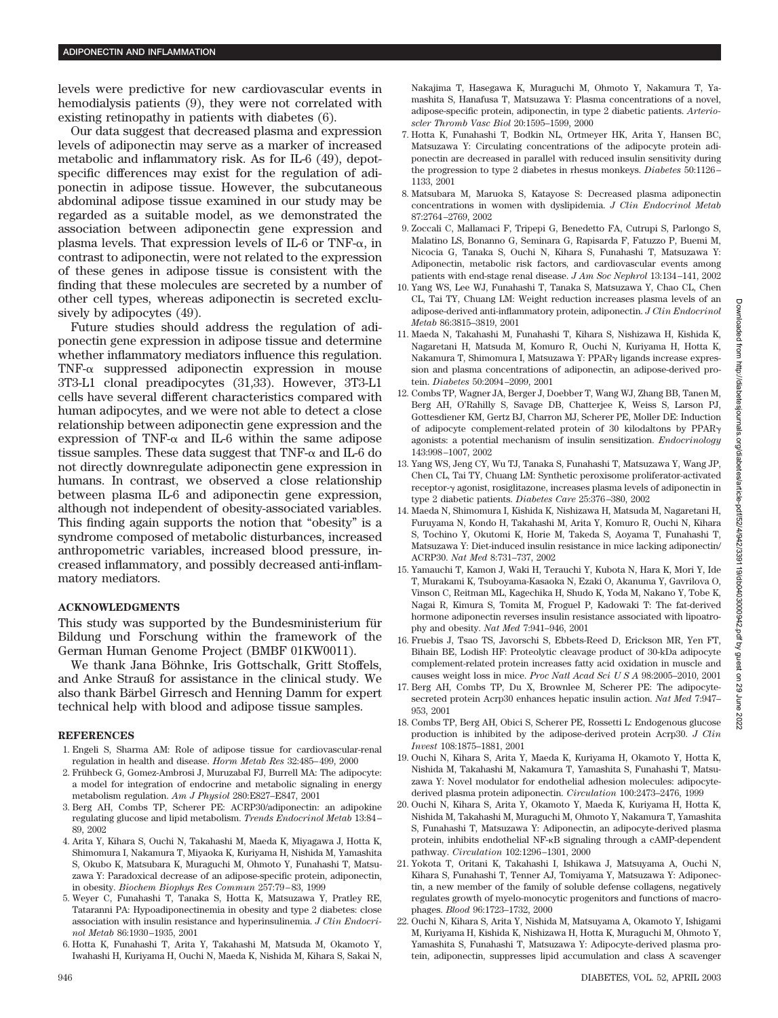levels were predictive for new cardiovascular events in hemodialysis patients (9), they were not correlated with existing retinopathy in patients with diabetes (6).

Our data suggest that decreased plasma and expression levels of adiponectin may serve as a marker of increased metabolic and inflammatory risk. As for IL-6 (49), depotspecific differences may exist for the regulation of adiponectin in adipose tissue. However, the subcutaneous abdominal adipose tissue examined in our study may be regarded as a suitable model, as we demonstrated the association between adiponectin gene expression and plasma levels. That expression levels of IL-6 or TNF- $\alpha$ , in contrast to adiponectin, were not related to the expression of these genes in adipose tissue is consistent with the finding that these molecules are secreted by a number of other cell types, whereas adiponectin is secreted exclusively by adipocytes (49).

Future studies should address the regulation of adiponectin gene expression in adipose tissue and determine whether inflammatory mediators influence this regulation.  $TNF-\alpha$  suppressed adiponectin expression in mouse 3T3-L1 clonal preadipocytes (31,33). However, 3T3-L1 cells have several different characteristics compared with human adipocytes, and we were not able to detect a close relationship between adiponectin gene expression and the expression of TNF- $\alpha$  and IL-6 within the same adipose tissue samples. These data suggest that  $\text{TNF-}\alpha$  and IL-6 do not directly downregulate adiponectin gene expression in humans. In contrast, we observed a close relationship between plasma IL-6 and adiponectin gene expression, although not independent of obesity-associated variables. This finding again supports the notion that "obesity" is a syndrome composed of metabolic disturbances, increased anthropometric variables, increased blood pressure, increased inflammatory, and possibly decreased anti-inflammatory mediators.

#### **ACKNOWLEDGMENTS**

This study was supported by the Bundesministerium für Bildung und Forschung within the framework of the German Human Genome Project (BMBF 01KW0011).

We thank Jana Böhnke, Iris Gottschalk, Gritt Stoffels, and Anke Strauß for assistance in the clinical study. We also thank Bärbel Girresch and Henning Damm for expert technical help with blood and adipose tissue samples.

#### **REFERENCES**

- 1. Engeli S, Sharma AM: Role of adipose tissue for cardiovascular-renal regulation in health and disease. *Horm Metab Res* 32:485–499, 2000
- 2. Frühbeck G, Gomez-Ambrosi J, Muruzabal FJ, Burrell MA: The adipocyte: a model for integration of endocrine and metabolic signaling in energy metabolism regulation. *Am J Physiol* 280:E827–E847, 2001
- 3. Berg AH, Combs TP, Scherer PE: ACRP30/adiponectin: an adipokine regulating glucose and lipid metabolism. *Trends Endocrinol Metab* 13:84– 89, 2002
- 4. Arita Y, Kihara S, Ouchi N, Takahashi M, Maeda K, Miyagawa J, Hotta K, Shimomura I, Nakamura T, Miyaoka K, Kuriyama H, Nishida M, Yamashita S, Okubo K, Matsubara K, Muraguchi M, Ohmoto Y, Funahashi T, Matsuzawa Y: Paradoxical decrease of an adipose-specific protein, adiponectin, in obesity. *Biochem Biophys Res Commun* 257:79–83, 1999
- 5. Weyer C, Funahashi T, Tanaka S, Hotta K, Matsuzawa Y, Pratley RE, Tataranni PA: Hypoadiponectinemia in obesity and type 2 diabetes: close association with insulin resistance and hyperinsulinemia. *J Clin Endocrinol Metab* 86:1930–1935, 2001
- 6. Hotta K, Funahashi T, Arita Y, Takahashi M, Matsuda M, Okamoto Y, Iwahashi H, Kuriyama H, Ouchi N, Maeda K, Nishida M, Kihara S, Sakai N,

Nakajima T, Hasegawa K, Muraguchi M, Ohmoto Y, Nakamura T, Yamashita S, Hanafusa T, Matsuzawa Y: Plasma concentrations of a novel, adipose-specific protein, adiponectin, in type 2 diabetic patients. *Arterioscler Thromb Vasc Biol* 20:1595–1599, 2000

- 7. Hotta K, Funahashi T, Bodkin NL, Ortmeyer HK, Arita Y, Hansen BC, Matsuzawa Y: Circulating concentrations of the adipocyte protein adiponectin are decreased in parallel with reduced insulin sensitivity during the progression to type 2 diabetes in rhesus monkeys. *Diabetes* 50:1126– 1133, 2001
- 8. Matsubara M, Maruoka S, Katayose S: Decreased plasma adiponectin concentrations in women with dyslipidemia. *J Clin Endocrinol Metab* 87:2764–2769, 2002
- 9. Zoccali C, Mallamaci F, Tripepi G, Benedetto FA, Cutrupi S, Parlongo S, Malatino LS, Bonanno G, Seminara G, Rapisarda F, Fatuzzo P, Buemi M, Nicocia G, Tanaka S, Ouchi N, Kihara S, Funahashi T, Matsuzawa Y: Adiponectin, metabolic risk factors, and cardiovascular events among patients with end-stage renal disease. *J Am Soc Nephrol* 13:134–141, 2002
- 10. Yang WS, Lee WJ, Funahashi T, Tanaka S, Matsuzawa Y, Chao CL, Chen CL, Tai TY, Chuang LM: Weight reduction increases plasma levels of an adipose-derived anti-inflammatory protein, adiponectin. *J Clin Endocrinol Metab* 86:3815–3819, 2001
- 11. Maeda N, Takahashi M, Funahashi T, Kihara S, Nishizawa H, Kishida K, Nagaretani H, Matsuda M, Komuro R, Ouchi N, Kuriyama H, Hotta K, Nakamura T, Shimomura I, Matsuzawa Y: PPARy ligands increase expression and plasma concentrations of adiponectin, an adipose-derived protein. *Diabetes* 50:2094–2099, 2001
- 12. Combs TP, Wagner JA, Berger J, Doebber T, Wang WJ, Zhang BB, Tanen M, Berg AH, O'Rahilly S, Savage DB, Chatterjee K, Weiss S, Larson PJ, Gottesdiener KM, Gertz BJ, Charron MJ, Scherer PE, Moller DE: Induction of adipocyte complement-related protein of 30 kilodaltons by PPAR agonists: a potential mechanism of insulin sensitization. *Endocrinology* 143:998–1007, 2002
- 13. Yang WS, Jeng CY, Wu TJ, Tanaka S, Funahashi T, Matsuzawa Y, Wang JP, Chen CL, Tai TY, Chuang LM: Synthetic peroxisome proliferator-activated receptor- agonist, rosiglitazone, increases plasma levels of adiponectin in type 2 diabetic patients. *Diabetes Care* 25:376–380, 2002
- 14. Maeda N, Shimomura I, Kishida K, Nishizawa H, Matsuda M, Nagaretani H, Furuyama N, Kondo H, Takahashi M, Arita Y, Komuro R, Ouchi N, Kihara S, Tochino Y, Okutomi K, Horie M, Takeda S, Aoyama T, Funahashi T, Matsuzawa Y: Diet-induced insulin resistance in mice lacking adiponectin/ ACRP30. *Nat Med* 8:731–737, 2002
- 15. Yamauchi T, Kamon J, Waki H, Terauchi Y, Kubota N, Hara K, Mori Y, Ide T, Murakami K, Tsuboyama-Kasaoka N, Ezaki O, Akanuma Y, Gavrilova O, Vinson C, Reitman ML, Kagechika H, Shudo K, Yoda M, Nakano Y, Tobe K, Nagai R, Kimura S, Tomita M, Froguel P, Kadowaki T: The fat-derived hormone adiponectin reverses insulin resistance associated with lipoatrophy and obesity. *Nat Med* 7:941–946, 2001
- 16. Fruebis J, Tsao TS, Javorschi S, Ebbets-Reed D, Erickson MR, Yen FT, Bihain BE, Lodish HF: Proteolytic cleavage product of 30-kDa adipocyte complement-related protein increases fatty acid oxidation in muscle and causes weight loss in mice. *Proc Natl Acad SciUSA* 98:2005–2010, 2001
- 17. Berg AH, Combs TP, Du X, Brownlee M, Scherer PE: The adipocytesecreted protein Acrp30 enhances hepatic insulin action. *Nat Med* 7:947– 953, 2001
- 18. Combs TP, Berg AH, Obici S, Scherer PE, Rossetti L: Endogenous glucose production is inhibited by the adipose-derived protein Acrp30. *J Clin Invest* 108:1875–1881, 2001
- 19. Ouchi N, Kihara S, Arita Y, Maeda K, Kuriyama H, Okamoto Y, Hotta K, Nishida M, Takahashi M, Nakamura T, Yamashita S, Funahashi T, Matsuzawa Y: Novel modulator for endothelial adhesion molecules: adipocytederived plasma protein adiponectin. *Circulation* 100:2473–2476, 1999
- 20. Ouchi N, Kihara S, Arita Y, Okamoto Y, Maeda K, Kuriyama H, Hotta K, Nishida M, Takahashi M, Muraguchi M, Ohmoto Y, Nakamura T, Yamashita S, Funahashi T, Matsuzawa Y: Adiponectin, an adipocyte-derived plasma protein, inhibits endothelial NF-KB signaling through a cAMP-dependent pathway. *Circulation* 102:1296–1301, 2000
- 21. Yokota T, Oritani K, Takahashi I, Ishikawa J, Matsuyama A, Ouchi N, Kihara S, Funahashi T, Tenner AJ, Tomiyama Y, Matsuzawa Y: Adiponectin, a new member of the family of soluble defense collagens, negatively regulates growth of myelo-monocytic progenitors and functions of macrophages. *Blood* 96:1723–1732, 2000
- 22. Ouchi N, Kihara S, Arita Y, Nishida M, Matsuyama A, Okamoto Y, Ishigami M, Kuriyama H, Kishida K, Nishizawa H, Hotta K, Muraguchi M, Ohmoto Y, Yamashita S, Funahashi T, Matsuzawa Y: Adipocyte-derived plasma protein, adiponectin, suppresses lipid accumulation and class A scavenger